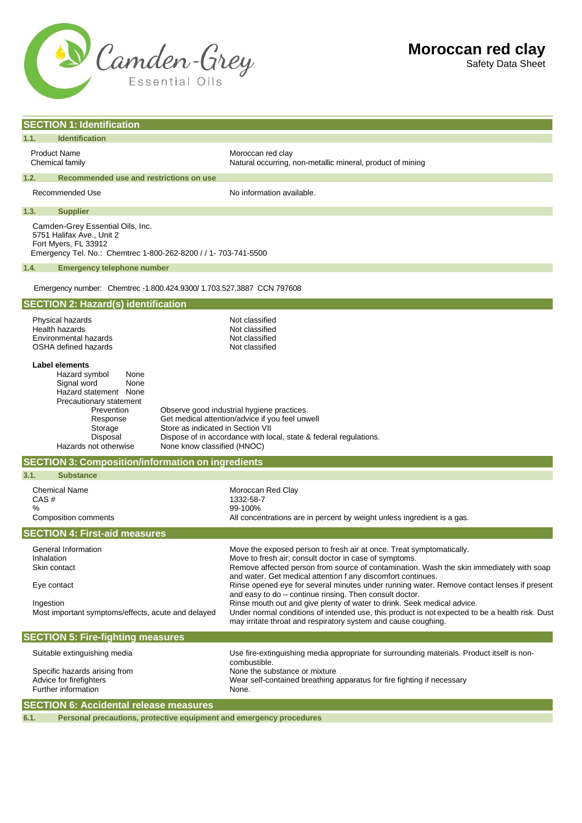

|           | <b>SECTION 1: Identification</b>                                                                                                                                                                                                                                 |                                                                                                                                                                                                                                                                                                                                                                                                                                                                                                                                                                                                                                                                                                     |
|-----------|------------------------------------------------------------------------------------------------------------------------------------------------------------------------------------------------------------------------------------------------------------------|-----------------------------------------------------------------------------------------------------------------------------------------------------------------------------------------------------------------------------------------------------------------------------------------------------------------------------------------------------------------------------------------------------------------------------------------------------------------------------------------------------------------------------------------------------------------------------------------------------------------------------------------------------------------------------------------------------|
| 1.1.      | <b>Identification</b>                                                                                                                                                                                                                                            |                                                                                                                                                                                                                                                                                                                                                                                                                                                                                                                                                                                                                                                                                                     |
|           | <b>Product Name</b><br>Chemical family                                                                                                                                                                                                                           | Moroccan red clay<br>Natural occurring, non-metallic mineral, product of mining                                                                                                                                                                                                                                                                                                                                                                                                                                                                                                                                                                                                                     |
| 1.2.      | Recommended use and restrictions on use                                                                                                                                                                                                                          |                                                                                                                                                                                                                                                                                                                                                                                                                                                                                                                                                                                                                                                                                                     |
|           | Recommended Use                                                                                                                                                                                                                                                  | No information available.                                                                                                                                                                                                                                                                                                                                                                                                                                                                                                                                                                                                                                                                           |
| 1.3.      | <b>Supplier</b>                                                                                                                                                                                                                                                  |                                                                                                                                                                                                                                                                                                                                                                                                                                                                                                                                                                                                                                                                                                     |
|           | Camden-Grey Essential Oils, Inc.<br>5751 Halifax Ave., Unit 2<br>Fort Myers, FL 33912<br>Emergency Tel. No.: Chemtrec 1-800-262-8200 / / 1- 703-741-5500                                                                                                         |                                                                                                                                                                                                                                                                                                                                                                                                                                                                                                                                                                                                                                                                                                     |
| 1.4.      | <b>Emergency telephone number</b>                                                                                                                                                                                                                                |                                                                                                                                                                                                                                                                                                                                                                                                                                                                                                                                                                                                                                                                                                     |
|           | Emergency number: Chemtrec -1.800.424.9300/ 1.703.527.3887 CCN 797608                                                                                                                                                                                            |                                                                                                                                                                                                                                                                                                                                                                                                                                                                                                                                                                                                                                                                                                     |
|           | <b>SECTION 2: Hazard(s) identification</b>                                                                                                                                                                                                                       |                                                                                                                                                                                                                                                                                                                                                                                                                                                                                                                                                                                                                                                                                                     |
|           | Physical hazards<br>Health hazards<br>Environmental hazards<br>OSHA defined hazards                                                                                                                                                                              | Not classified<br>Not classified<br>Not classified<br>Not classified                                                                                                                                                                                                                                                                                                                                                                                                                                                                                                                                                                                                                                |
|           | Label elements<br>Hazard symbol<br>None<br>Signal word<br>None<br>Hazard statement None<br>Precautionary statement<br>Prevention<br>Response<br>Storage<br>Store as indicated in Section VII<br>Disposal<br>Hazards not otherwise<br>None know classified (HNOC) | Observe good industrial hygiene practices.<br>Get medical attention/advice if you feel unwell<br>Dispose of in accordance with local, state & federal regulations.                                                                                                                                                                                                                                                                                                                                                                                                                                                                                                                                  |
|           | <b>SECTION 3: Composition/information on ingredients</b>                                                                                                                                                                                                         |                                                                                                                                                                                                                                                                                                                                                                                                                                                                                                                                                                                                                                                                                                     |
| 3.1.      | <b>Substance</b>                                                                                                                                                                                                                                                 |                                                                                                                                                                                                                                                                                                                                                                                                                                                                                                                                                                                                                                                                                                     |
| CAS#<br>% | <b>Chemical Name</b>                                                                                                                                                                                                                                             | Moroccan Red Clay<br>1332-58-7<br>99-100%                                                                                                                                                                                                                                                                                                                                                                                                                                                                                                                                                                                                                                                           |
|           | Composition comments                                                                                                                                                                                                                                             | All concentrations are in percent by weight unless ingredient is a gas.                                                                                                                                                                                                                                                                                                                                                                                                                                                                                                                                                                                                                             |
|           | <b>SECTION 4: First-aid measures</b>                                                                                                                                                                                                                             |                                                                                                                                                                                                                                                                                                                                                                                                                                                                                                                                                                                                                                                                                                     |
|           | General Information<br>Inhalation<br>Skin contact<br>Eye contact<br>Ingestion<br>Most important symptoms/effects, acute and delayed                                                                                                                              | Move the exposed person to fresh air at once. Treat symptomatically.<br>Move to fresh air; consult doctor in case of symptoms.<br>Remove affected person from source of contamination. Wash the skin immediately with soap<br>and water. Get medical attention f any discomfort continues.<br>Rinse opened eye for several minutes under running water. Remove contact lenses if present<br>and easy to do – continue rinsing. Then consult doctor.<br>Rinse mouth out and give plenty of water to drink. Seek medical advice.<br>Under normal conditions of intended use, this product is not expected to be a health risk. Dust<br>may irritate throat and respiratory system and cause coughing. |
|           | <b>SECTION 5: Fire-fighting measures</b>                                                                                                                                                                                                                         |                                                                                                                                                                                                                                                                                                                                                                                                                                                                                                                                                                                                                                                                                                     |
|           | Suitable extinguishing media                                                                                                                                                                                                                                     | Use fire-extinguishing media appropriate for surrounding materials. Product itself is non-                                                                                                                                                                                                                                                                                                                                                                                                                                                                                                                                                                                                          |
|           | Specific hazards arising from<br>Advice for firefighters<br>Further information                                                                                                                                                                                  | combustible.<br>None the substance or mixture<br>Wear self-contained breathing apparatus for fire fighting if necessary<br>None.                                                                                                                                                                                                                                                                                                                                                                                                                                                                                                                                                                    |
|           | <b>SECTION 6: Accidental release measures</b>                                                                                                                                                                                                                    |                                                                                                                                                                                                                                                                                                                                                                                                                                                                                                                                                                                                                                                                                                     |

**6.1. Personal precautions, protective equipment and emergency procedures**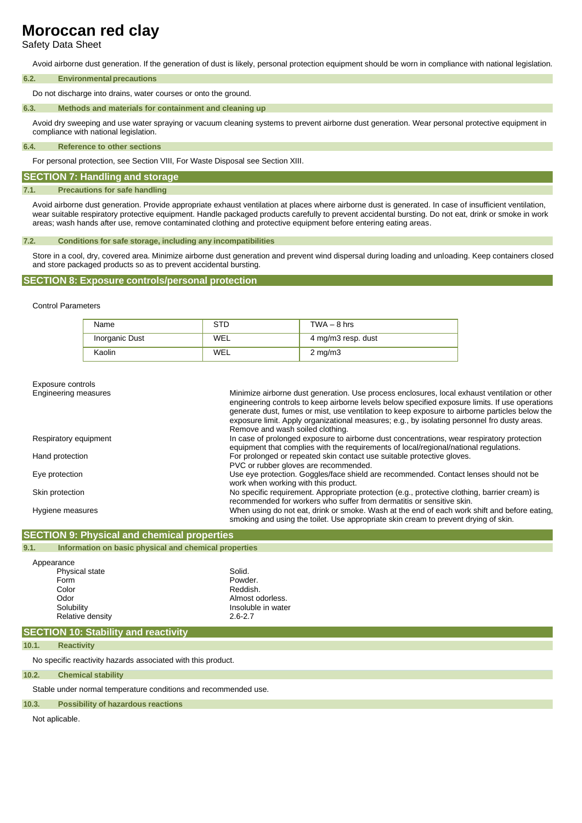# **Moroccan red clay**

Safety Data Sheet

Avoid airborne dust generation. If the generation of dust is likely, personal protection equipment should be worn in compliance with national legislation.

#### **6.2. Environmentalprecautions**

Do not discharge into drains, water courses or onto the ground.

#### **6.3. Methods and materials for containment and cleaning up**

Avoid dry sweeping and use water spraying or vacuum cleaning systems to prevent airborne dust generation. Wear personal protective equipment in compliance with national legislation.

#### **6.4. Reference to other sections**

For personal protection, see Section VIII, For Waste Disposal see Section XIII.

#### **SECTION 7: Handling and storage**

#### **7.1. Precautions for safe handling**

Avoid airborne dust generation. Provide appropriate exhaust ventilation at places where airborne dust is generated. In case of insufficient ventilation, wear suitable respiratory protective equipment. Handle packaged products carefully to prevent accidental bursting. Do not eat, drink or smoke in work areas; wash hands after use, remove contaminated clothing and protective equipment before entering eating areas.

#### **7.2. Conditions for safe storage, including any incompatibilities**

Store in a cool, dry, covered area. Minimize airborne dust generation and prevent wind dispersal during loading and unloading. Keep containers closed and store packaged products so as to prevent accidental bursting.

## **SECTION 8: Exposure controls/personal protection**

Control Parameters

| Name           | <b>STD</b> | $TWA - 8 hrs$      |
|----------------|------------|--------------------|
| Inorganic Dust | WEL        | 4 mg/m3 resp. dust |
| Kaolin         | WEL        | $2 \text{ mg/m}$   |

| Exposure controls           |                                                                                                                                                                                                                                                                                                                                                                                                                                        |
|-----------------------------|----------------------------------------------------------------------------------------------------------------------------------------------------------------------------------------------------------------------------------------------------------------------------------------------------------------------------------------------------------------------------------------------------------------------------------------|
| <b>Engineering measures</b> | Minimize airborne dust generation. Use process enclosures, local exhaust ventilation or other<br>engineering controls to keep airborne levels below specified exposure limits. If use operations<br>generate dust, fumes or mist, use ventilation to keep exposure to airborne particles below the<br>exposure limit. Apply organizational measures; e.g., by isolating personnel fro dusty areas.<br>Remove and wash soiled clothing. |
| Respiratory equipment       | In case of prolonged exposure to airborne dust concentrations, wear respiratory protection<br>equipment that complies with the requirements of local/regional/national regulations.                                                                                                                                                                                                                                                    |
| Hand protection             | For prolonged or repeated skin contact use suitable protective gloves.<br>PVC or rubber gloves are recommended.                                                                                                                                                                                                                                                                                                                        |
| Eye protection              | Use eye protection. Goggles/face shield are recommended. Contact lenses should not be<br>work when working with this product.                                                                                                                                                                                                                                                                                                          |
| Skin protection             | No specific requirement. Appropriate protection (e.g., protective clothing, barrier cream) is<br>recommended for workers who suffer from dermatitis or sensitive skin.                                                                                                                                                                                                                                                                 |
| Hygiene measures            | When using do not eat, drink or smoke. Wash at the end of each work shift and before eating,<br>smoking and using the toilet. Use appropriate skin cream to prevent drying of skin.                                                                                                                                                                                                                                                    |

| <b>SECTION 9: Physical and chemical properties</b> |                                                                                         |                                                                                        |
|----------------------------------------------------|-----------------------------------------------------------------------------------------|----------------------------------------------------------------------------------------|
| 9.1.                                               | Information on basic physical and chemical properties                                   |                                                                                        |
|                                                    | Appearance<br>Physical state<br>Form<br>Color<br>Odor<br>Solubility<br>Relative density | Solid.<br>Powder.<br>Reddish.<br>Almost odorless.<br>Insoluble in water<br>$2.6 - 2.7$ |
|                                                    | <b>SECTION 10: Stability and reactivity</b>                                             |                                                                                        |
| 10.1.                                              | <b>Reactivity</b>                                                                       |                                                                                        |
|                                                    | No specific reactivity hazards associated with this product.                            |                                                                                        |
| 10.2.                                              | <b>Chemical stability</b>                                                               |                                                                                        |
|                                                    | Stable under normal temperature conditions and recommended use.                         |                                                                                        |
| 10.3.                                              | <b>Possibility of hazardous reactions</b>                                               |                                                                                        |
| Not aplicable.                                     |                                                                                         |                                                                                        |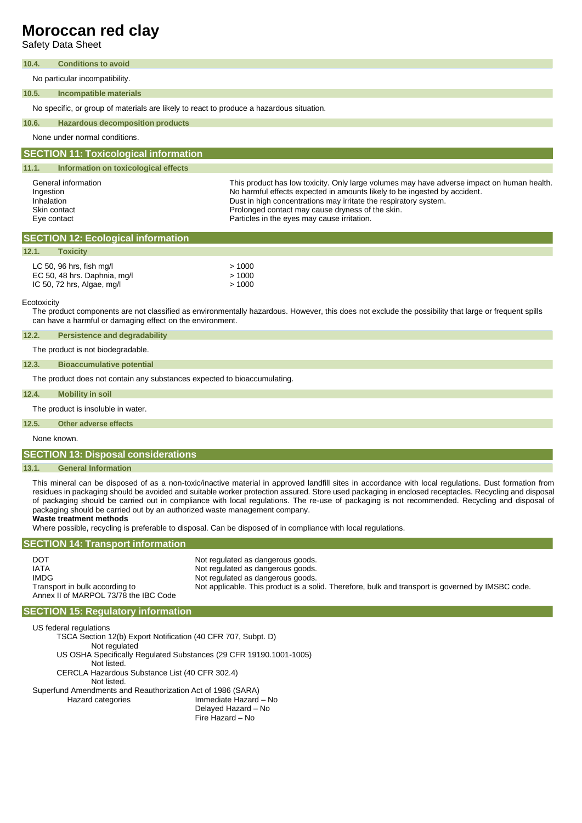## **Moroccan red clay**

Safety Data Sheet

| 10.4.                    | <b>Conditions to avoid</b>                                                               |                                                                                                                                                                                                                                                                                                                                                |  |
|--------------------------|------------------------------------------------------------------------------------------|------------------------------------------------------------------------------------------------------------------------------------------------------------------------------------------------------------------------------------------------------------------------------------------------------------------------------------------------|--|
|                          | No particular incompatibility.                                                           |                                                                                                                                                                                                                                                                                                                                                |  |
| 10.5.                    | <b>Incompatible materials</b>                                                            |                                                                                                                                                                                                                                                                                                                                                |  |
|                          | No specific, or group of materials are likely to react to produce a hazardous situation. |                                                                                                                                                                                                                                                                                                                                                |  |
| 10.6.                    | <b>Hazardous decomposition products</b>                                                  |                                                                                                                                                                                                                                                                                                                                                |  |
|                          | None under normal conditions.                                                            |                                                                                                                                                                                                                                                                                                                                                |  |
|                          | <b>SECTION 11: Toxicological information</b>                                             |                                                                                                                                                                                                                                                                                                                                                |  |
| 11.1.                    | Information on toxicological effects                                                     |                                                                                                                                                                                                                                                                                                                                                |  |
| Ingestion<br>Inhalation  | General information<br>Skin contact<br>Eye contact                                       | This product has low toxicity. Only large volumes may have adverse impact on human health.<br>No harmful effects expected in amounts likely to be ingested by accident.<br>Dust in high concentrations may irritate the respiratory system.<br>Prolonged contact may cause dryness of the skin.<br>Particles in the eyes may cause irritation. |  |
|                          | <b>SECTION 12: Ecological information</b>                                                |                                                                                                                                                                                                                                                                                                                                                |  |
| 12.1.                    | <b>Toxicity</b>                                                                          |                                                                                                                                                                                                                                                                                                                                                |  |
| LC 50, 96 hrs, fish mg/l |                                                                                          | >1000                                                                                                                                                                                                                                                                                                                                          |  |

| LC 50, 96 hrs, fish mg/l     | >1000  |
|------------------------------|--------|
| EC 50, 48 hrs. Daphnia, mg/l | > 1000 |
| IC 50, 72 hrs, Algae, mg/l   | > 1000 |

**Ecotoxicity** 

The product components are not classified as environmentally hazardous. However, this does not exclude the possibility that large or frequent spills can have a harmful or damaging effect on the environment.

| <b>Persistence and degradability</b><br>12.2. |  |
|-----------------------------------------------|--|
|-----------------------------------------------|--|

The product is not biodegradable.

#### **12.3. Bioaccumulative potential**

The product does not contain any substances expected to bioaccumulating.

#### **12.4. Mobility in soil**

The product is insoluble in water.

#### **12.5. Other adverse effects**

None known.

### **SECTION 13: Disposal considerations**

#### **13.1. General Information**

This mineral can be disposed of as a non-toxic/inactive material in approved landfill sites in accordance with local regulations. Dust formation from residues in packaging should be avoided and suitable worker protection assured. Store used packaging in enclosed receptacles. Recycling and disposal of packaging should be carried out in compliance with local regulations. The re-use of packaging is not recommended. Recycling and disposal of packaging should be carried out by an authorized waste management company.

**Waste treatment methods**

Where possible, recycling is preferable to disposal. Can be disposed of in compliance with local regulations.

### **SECTION 14: Transport information**

| <b>DOT</b>                            | Not regulated as dangerous goods.                                                                 |
|---------------------------------------|---------------------------------------------------------------------------------------------------|
| <b>IATA</b>                           | Not regulated as dangerous goods.                                                                 |
| <b>IMDG</b>                           | Not regulated as dangerous goods.                                                                 |
| Transport in bulk according to        | Not applicable. This product is a solid. Therefore, bulk and transport is governed by IMSBC code. |
| Annex II of MARPOL 73/78 the IBC Code |                                                                                                   |

## **SECTION 15: Regulatory information**

US federal regulations TSCA Section 12(b) Export Notification (40 CFR 707, Subpt. D) Not regulated US OSHA Specifically Regulated Substances (29 CFR 19190.1001-1005) Not listed. CERCLA Hazardous Substance List (40 CFR 302.4) Not listed. Superfund Amendments and Reauthorization Act of 1986 (SARA) Hazard categories **Immediate Hazard – No** Delayed Hazard – No

Fire Hazard – No